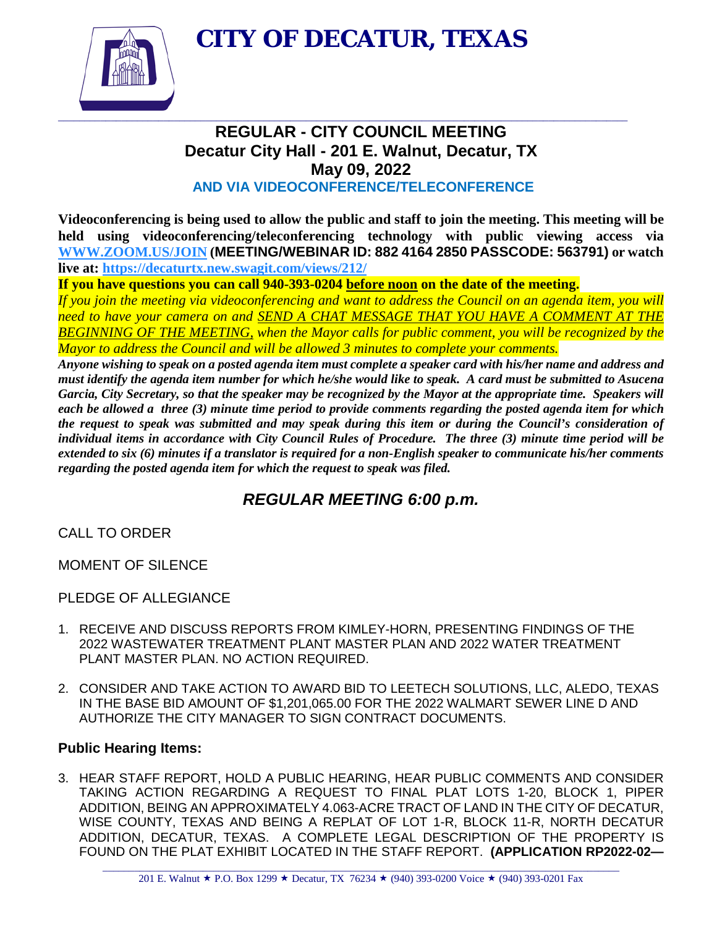**CITY OF DECATUR, TEXAS**



## **REGULAR - CITY COUNCIL MEETING Decatur City Hall - 201 E. Walnut, Decatur, TX May 09, 2022 AND VIA VIDEOCONFERENCE/TELECONFERENCE**

**Videoconferencing is being used to allow the public and staff to join the meeting. This meeting will be held using videoconferencing/teleconferencing technology with public viewing access via [WWW.ZOOM.US/JOIN](http://www.zoom.us/JOIN) (MEETING/WEBINAR ID: 882 4164 2850 PASSCODE: 563791) or watch live at:<https://decaturtx.new.swagit.com/views/212/>**

**If you have questions you can call 940-393-0204 before noon on the date of the meeting.** 

*If you join the meeting via videoconferencing and want to address the Council on an agenda item, you will need to have your camera on and SEND A CHAT MESSAGE THAT YOU HAVE A COMMENT AT THE BEGINNING OF THE MEETING, when the Mayor calls for public comment, you will be recognized by the Mayor to address the Council and will be allowed 3 minutes to complete your comments.* 

*Anyone wishing to speak on a posted agenda item must complete a speaker card with his/her name and address and must identify the agenda item number for which he/she would like to speak. A card must be submitted to Asucena Garcia, City Secretary, so that the speaker may be recognized by the Mayor at the appropriate time. Speakers will each be allowed a three (3) minute time period to provide comments regarding the posted agenda item for which the request to speak was submitted and may speak during this item or during the Council's consideration of individual items in accordance with City Council Rules of Procedure. The three (3) minute time period will be extended to six (6) minutes if a translator is required for a non-English speaker to communicate his/her comments regarding the posted agenda item for which the request to speak was filed.*

# *REGULAR MEETING 6:00 p.m.*

CALL TO ORDER

MOMENT OF SILENCE

PLEDGE OF ALLEGIANCE

- 1. RECEIVE AND DISCUSS REPORTS FROM KIMLEY-HORN, PRESENTING FINDINGS OF THE 2022 WASTEWATER TREATMENT PLANT MASTER PLAN AND 2022 WATER TREATMENT PLANT MASTER PLAN. NO ACTION REQUIRED.
- 2. CONSIDER AND TAKE ACTION TO AWARD BID TO LEETECH SOLUTIONS, LLC, ALEDO, TEXAS IN THE BASE BID AMOUNT OF \$1,201,065.00 FOR THE 2022 WALMART SEWER LINE D AND AUTHORIZE THE CITY MANAGER TO SIGN CONTRACT DOCUMENTS.

## **Public Hearing Items:**

3. HEAR STAFF REPORT, HOLD A PUBLIC HEARING, HEAR PUBLIC COMMENTS AND CONSIDER TAKING ACTION REGARDING A REQUEST TO FINAL PLAT LOTS 1-20, BLOCK 1, PIPER ADDITION, BEING AN APPROXIMATELY 4.063-ACRE TRACT OF LAND IN THE CITY OF DECATUR, WISE COUNTY, TEXAS AND BEING A REPLAT OF LOT 1-R, BLOCK 11-R, NORTH DECATUR ADDITION, DECATUR, TEXAS. A COMPLETE LEGAL DESCRIPTION OF THE PROPERTY IS FOUND ON THE PLAT EXHIBIT LOCATED IN THE STAFF REPORT. **(APPLICATION RP2022-02—**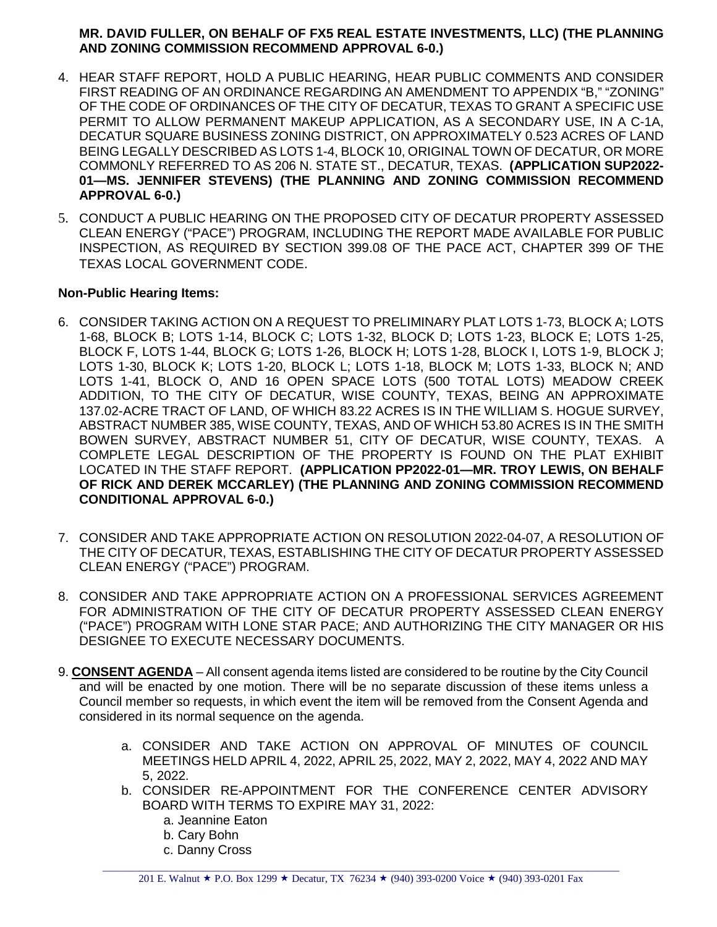#### **MR. DAVID FULLER, ON BEHALF OF FX5 REAL ESTATE INVESTMENTS, LLC) (THE PLANNING AND ZONING COMMISSION RECOMMEND APPROVAL 6-0.)**

- 4. HEAR STAFF REPORT, HOLD A PUBLIC HEARING, HEAR PUBLIC COMMENTS AND CONSIDER FIRST READING OF AN ORDINANCE REGARDING AN AMENDMENT TO APPENDIX "B," "ZONING" OF THE CODE OF ORDINANCES OF THE CITY OF DECATUR, TEXAS TO GRANT A SPECIFIC USE PERMIT TO ALLOW PERMANENT MAKEUP APPLICATION, AS A SECONDARY USE, IN A C-1A, DECATUR SQUARE BUSINESS ZONING DISTRICT, ON APPROXIMATELY 0.523 ACRES OF LAND BEING LEGALLY DESCRIBED AS LOTS 1-4, BLOCK 10, ORIGINAL TOWN OF DECATUR, OR MORE COMMONLY REFERRED TO AS 206 N. STATE ST., DECATUR, TEXAS. **(APPLICATION SUP2022- 01—MS. JENNIFER STEVENS) (THE PLANNING AND ZONING COMMISSION RECOMMEND APPROVAL 6-0.)**
- 5. CONDUCT A PUBLIC HEARING ON THE PROPOSED CITY OF DECATUR PROPERTY ASSESSED CLEAN ENERGY ("PACE") PROGRAM, INCLUDING THE REPORT MADE AVAILABLE FOR PUBLIC INSPECTION, AS REQUIRED BY SECTION 399.08 OF THE PACE ACT, CHAPTER 399 OF THE TEXAS LOCAL GOVERNMENT CODE.

#### **Non-Public Hearing Items:**

- 6. CONSIDER TAKING ACTION ON A REQUEST TO PRELIMINARY PLAT LOTS 1-73, BLOCK A; LOTS 1-68, BLOCK B; LOTS 1-14, BLOCK C; LOTS 1-32, BLOCK D; LOTS 1-23, BLOCK E; LOTS 1-25, BLOCK F, LOTS 1-44, BLOCK G; LOTS 1-26, BLOCK H; LOTS 1-28, BLOCK I, LOTS 1-9, BLOCK J; LOTS 1-30, BLOCK K; LOTS 1-20, BLOCK L; LOTS 1-18, BLOCK M; LOTS 1-33, BLOCK N; AND LOTS 1-41, BLOCK O, AND 16 OPEN SPACE LOTS (500 TOTAL LOTS) MEADOW CREEK ADDITION, TO THE CITY OF DECATUR, WISE COUNTY, TEXAS, BEING AN APPROXIMATE 137.02-ACRE TRACT OF LAND, OF WHICH 83.22 ACRES IS IN THE WILLIAM S. HOGUE SURVEY, ABSTRACT NUMBER 385, WISE COUNTY, TEXAS, AND OF WHICH 53.80 ACRES IS IN THE SMITH BOWEN SURVEY, ABSTRACT NUMBER 51, CITY OF DECATUR, WISE COUNTY, TEXAS. A COMPLETE LEGAL DESCRIPTION OF THE PROPERTY IS FOUND ON THE PLAT EXHIBIT LOCATED IN THE STAFF REPORT. **(APPLICATION PP2022-01—MR. TROY LEWIS, ON BEHALF OF RICK AND DEREK MCCARLEY) (THE PLANNING AND ZONING COMMISSION RECOMMEND CONDITIONAL APPROVAL 6-0.)**
- 7. CONSIDER AND TAKE APPROPRIATE ACTION ON RESOLUTION 2022-04-07, A RESOLUTION OF THE CITY OF DECATUR, TEXAS, ESTABLISHING THE CITY OF DECATUR PROPERTY ASSESSED CLEAN ENERGY ("PACE") PROGRAM.
- 8. CONSIDER AND TAKE APPROPRIATE ACTION ON A PROFESSIONAL SERVICES AGREEMENT FOR ADMINISTRATION OF THE CITY OF DECATUR PROPERTY ASSESSED CLEAN ENERGY ("PACE") PROGRAM WITH LONE STAR PACE; AND AUTHORIZING THE CITY MANAGER OR HIS DESIGNEE TO EXECUTE NECESSARY DOCUMENTS.
- 9. **CONSENT AGENDA** All consent agenda items listed are considered to be routine by the City Council and will be enacted by one motion. There will be no separate discussion of these items unless a Council member so requests, in which event the item will be removed from the Consent Agenda and considered in its normal sequence on the agenda.
	- a. CONSIDER AND TAKE ACTION ON APPROVAL OF MINUTES OF COUNCIL MEETINGS HELD APRIL 4, 2022, APRIL 25, 2022, MAY 2, 2022, MAY 4, 2022 AND MAY 5, 2022.
	- b. CONSIDER RE-APPOINTMENT FOR THE CONFERENCE CENTER ADVISORY BOARD WITH TERMS TO EXPIRE MAY 31, 2022:
		- a. Jeannine Eaton
		- b. Cary Bohn
		- c. Danny Cross